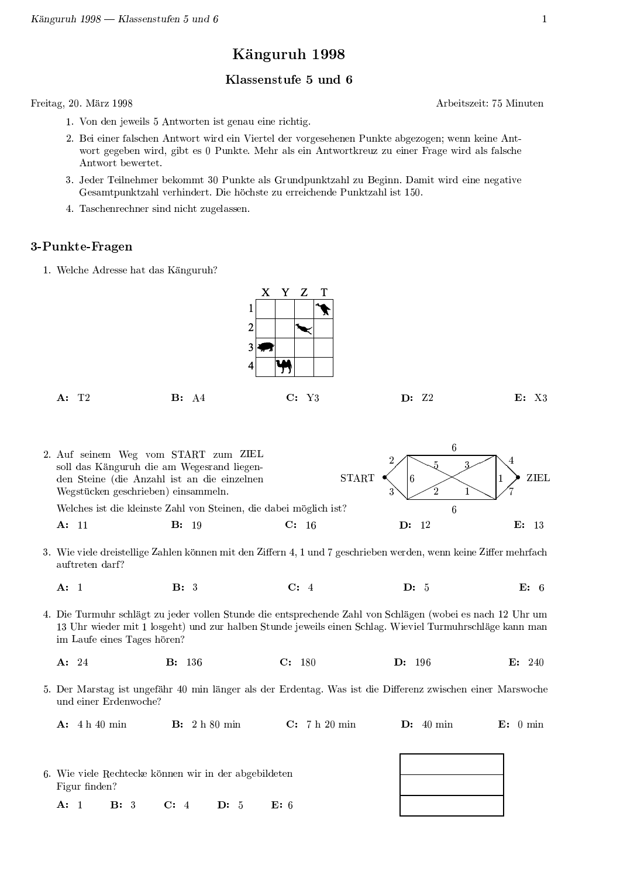# Känguruh 1998

#### Klassenstufe 5 und 6

Freitag, 20. März 1998

Arbeitszeit 75 Minuten

- 1. Von den jeweils 5 Antworten ist genau eine richtig.
- 2. Bei einer falschen Antwort wird ein Viertel der vorgesehenen Punkte abgezogen; wenn keine Antwort gegeben wird, gibt es 0 Punkte. Mehr als ein Antwortkreuz zu einer Frage wird als falsche Antwort bewertet.
- 3. Jeder Teilnehmer bekommt 30 Punkte als Grundpunktzahl zu Beginn. Damit wird eine negative Gesamtpunktzahl verhindert. Die höchste zu erreichende Punktzahl ist 150.
- 4. Taschenrechner sind nicht zugelassen.

## 3-Punkte-Fragen

1. Welche Adresse hat das Känguruh?





3. Wie viele dreistellige Zahlen können mit den Ziffern 4, 1 und 7 geschrieben werden, wenn keine Ziffer mehrfach auftreten darf?

| $A$ : | $\mathbf{B}$ : 3 | C: 4 | $\mathbf{D}: 5$ |  |
|-------|------------------|------|-----------------|--|
|       |                  |      |                 |  |

4. Die Turmuhr schlägt zu jeder vollen Stunde die entsprechende Zahl von Schlägen (wobei es nach 12 Uhr um 13 Uhr wieder mit 1 losgeht) und zur halben Stunde jeweils einen Schlag. Wieviel Turmuhrschläge kann man im Laufe eines Tages hören?

- $C: 180$  $A: 24$ **B**: 136 D: 196  $E: 240$
- 5. Der Marstag ist ungefähr 40 min länger als der Erdentag. Was ist die Differenz zwischen einer Marswoche und einer Erdenwoche?

 $A: 4h 40 min$ **B**: 2 h 80 min C: 7 h 20 min  $D: 40$  min  $E: 0 min$ 

 $\mathsf T$ 

| 6. Wie viele Rechtecke können wir in der abgebildeten-<br>Figur finden? |              |             |  |                  |  |  |  |
|-------------------------------------------------------------------------|--------------|-------------|--|------------------|--|--|--|
| A: 1                                                                    | <b>B</b> : 3 | $C: 4$ D: 5 |  | $\mathbf{F}$ : 6 |  |  |  |

 $\overline{6}$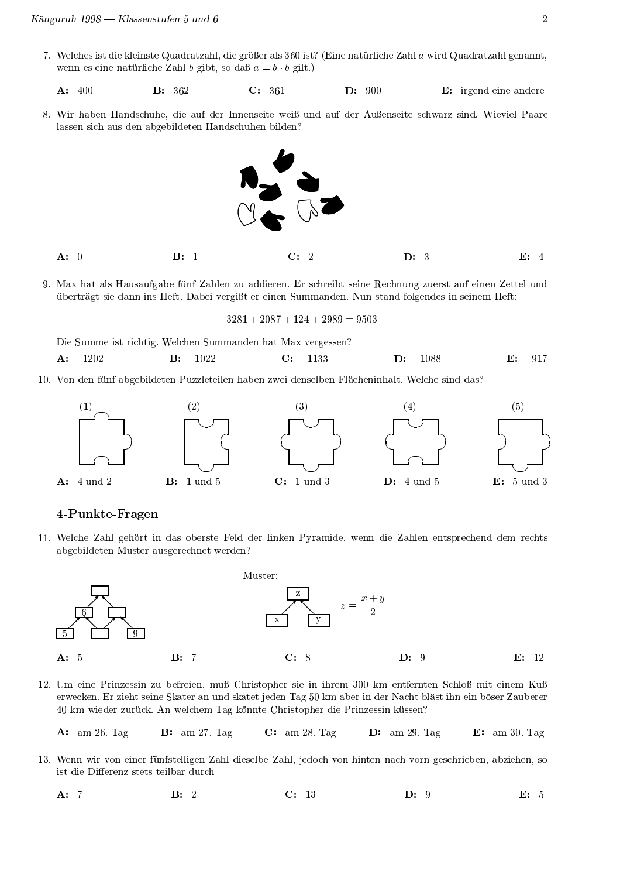- 7. Welches ist die kleinste Quadratzahl, die größer als 360 ist? (Eine natürliche Zahl a wird Quadratzahl genannt, wenn es eine natürliche Zahl b gibt, so daß  $a = b \cdot b$  gilt.)
	- $C: 361$  $D: 900$  $A: 400$ **B**: 362 E: irgend eine andere
- 8. Wir haben Handschuhe, die auf der Innenseite weiß und auf der Außenseite schwarz sind. Wieviel Paare lassen sich aus den abgebildeten Handschuhen bilden?



- $A: 0$  $B: 1$  $C:$  $\overline{2}$  $D: 3$  $E: 4$
- 9. Max hat als Hausaufgabe fünf Zahlen zu addieren. Er schreibt seine Rechnung zuerst auf einen Zettel und überträgt sie dann ins Heft. Dabei vergißt er einen Summanden. Nun stand folgendes in seinem Heft:

 $3281 + 2087 + 124 + 2989 = 9503$ 

Die Summe ist richtig. Welchen Summanden hat Max vergessen?

- 1202 1022 1088 917  $A$ :  $B:$  $C:$ 1133  $\mathbf{D}$ :  $E:$
- 10. Von den fünf abgebildeten Puzzleteilen haben zwei denselben Flächeninhalt. Welche sind das?



#### 4-Punkte-Fragen

11. Welche Zahl gehört in das oberste Feld der linken Pyramide, wenn die Zahlen entsprechend dem rechts abgebildeten Muster ausgerechnet werden?



12. Um eine Prinzessin zu befreien, muß Christopher sie in ihrem 300 km entfernten Schloß mit einem Kuß erwecken. Er zieht seine Skater an und skatet jeden Tag 50 km aber in der Nacht bläst ihn ein böser Zauberer 40 km wieder zurück. An welchem Tag könnte Christopher die Prinzessin küssen?

 $C: \quad \text{am } 28. \text{ Tag}$  $A: \quad \text{am } 26. \text{ Tag}$  $B: \text{ am } 27. \text{ Tag}$  $D:$  am 29. Tag  $E: \text{ am } 30. \text{ Tag}$ 

- 13. Wenn wir von einer fünfstelligen Zahl dieselbe Zahl, jedoch von hinten nach vorn geschrieben, abziehen, so ist die Differenz stets teilbar durch
	- $B: 2$  $C: 13$  $D: 9$ E: 5  $A: 7$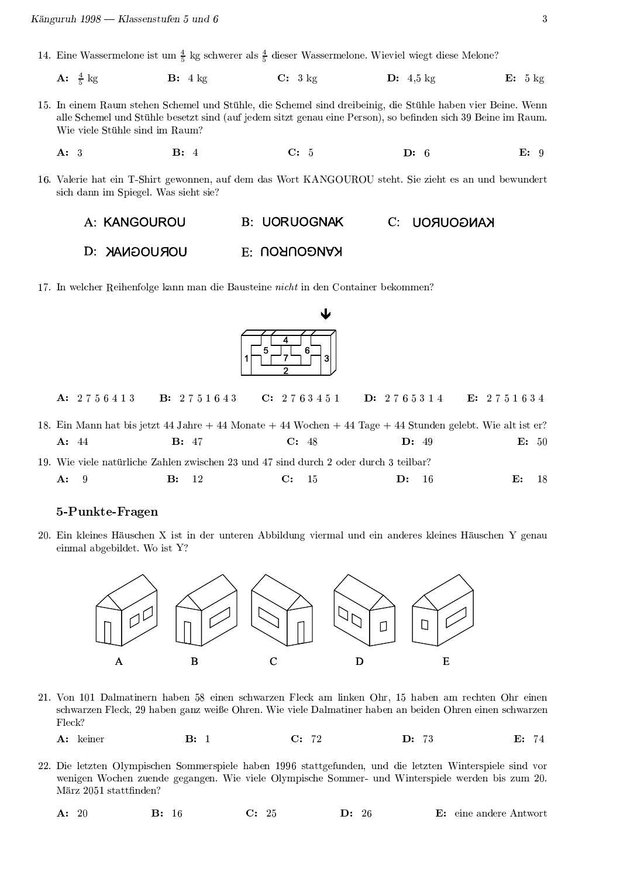- 14. Eine Wassermelone ist um  $\frac{4}{5}$  kg schwerer als  $\frac{4}{5}$  dieser Wassermelone. Wieviel wiegt diese Melone?
	- **A:**  $\frac{4}{5}$  kg  $B: 4 \text{ kg}$  $C: 3 \text{ kg}$  $D: 4.5$  kg  $E: 5 kg$
- 15. In einem Raum stehen Schemel und Stühle, die Schemel sind dreibeinig, die Stühle haben vier Beine. Wenn alle Schemel und Stühle besetzt sind (auf jedem sitzt genau eine Person), so befinden sich 39 Beine im Raum. Wie viele Stühle sind im Raum?
	- $B: 4$  $C: 5$  $D: 6$  $E: 9$  $A: 3$
- 16. Valerie hat ein T-Shirt gewonnen, auf dem das Wort KANGOUROU steht. Sie zieht es an und bewundert sich dann im Spiegel. Was sieht sie?
	- A: KANGOUROU **B: UORUOGNAK**  $C:$ **KANGOUROU**
	- **D: YAMOOUROU** E: UORUOONAN

17. In welcher Reihenfolge kann man die Bausteine nicht in den Container bekommen?



A: 2756413 **B**: 2751643  $C: 2763451$  $D: 2765314$ E: 2751634

18. Ein Mann hat bis jetzt 44 Jahre + 44 Monate + 44 Wochen + 44 Tage + 44 Stunden gelebt. Wie alt ist er?  $A: 44$  $B: 47$  $C: 48$  $D: 49$  $E: 50$ 

19. Wie viele natürliche Zahlen zwischen 23 und 47 sind durch 2 oder durch 3 teilbar? 9  $\mathbf{B}$ : 12  $C:$  $D:$  $A$ : 15  $16$  ${\bf E}$  : 18

## 5-Punkte-Fragen

20. Ein kleines Häuschen X ist in der unteren Abbildung viermal und ein anderes kleines Häuschen Y genau einmal abgebildet. Wo ist Y?



- 21. Von 101 Dalmatinern haben 58 einen schwarzen Fleck am linken Ohr, 15 haben am rechten Ohr einen schwarzen Fleck, 29 haben ganz weiße Ohren. Wie viele Dalmatiner haben an beiden Ohren einen schwarzen Fleck?
	- A: keiner  $B: 1$  $C: 72$  $D: 73$  $E: 74$
- 22. Die letzten Olympischen Sommerspiele haben 1996 stattgefunden, und die letzten Winterspiele sind vor wenigen Wochen zuende gegangen. Wie viele Olympische Sommer- und Winterspiele werden bis zum 20. März 2051 stattfinden?
	- $A: 20$ **B**: 16  $C: 25$ D: 26 E: eine andere Antwort